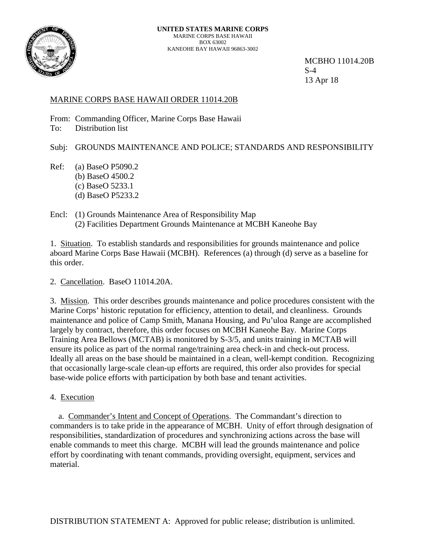

 MCBHO 11014.20B 13 Apr 18

# MARINE CORPS BASE HAWAII ORDER 11014.20B

From: Commanding Officer, Marine Corps Base Hawaii

To: Distribution list

Subj: GROUNDS MAINTENANCE AND POLICE; STANDARDS AND RESPONSIBILITY

- Ref: (a) BaseO P5090.2 (b) BaseO 4500.2 (c) BaseO 5233.1 (d) BaseO P5233.2
- Encl: (1) Grounds Maintenance Area of Responsibility Map (2) Facilities Department Grounds Maintenance at MCBH Kaneohe Bay

1. Situation. To establish standards and responsibilities for grounds maintenance and police aboard Marine Corps Base Hawaii (MCBH). References (a) through (d) serve as a baseline for this order.

2. Cancellation. BaseO 11014.20A.

3. Mission. This order describes grounds maintenance and police procedures consistent with the Marine Corps' historic reputation for efficiency, attention to detail, and cleanliness. Grounds maintenance and police of Camp Smith, Manana Housing, and Pu'uloa Range are accomplished largely by contract, therefore, this order focuses on MCBH Kaneohe Bay. Marine Corps Training Area Bellows (MCTAB) is monitored by S-3/5, and units training in MCTAB will ensure its police as part of the normal range/training area check-in and check-out process. Ideally all areas on the base should be maintained in a clean, well-kempt condition. Recognizing that occasionally large-scale clean-up efforts are required, this order also provides for special base-wide police efforts with participation by both base and tenant activities.

4. Execution

 a. Commander's Intent and Concept of Operations. The Commandant's direction to commanders is to take pride in the appearance of MCBH. Unity of effort through designation of responsibilities, standardization of procedures and synchronizing actions across the base will enable commands to meet this charge. MCBH will lead the grounds maintenance and police effort by coordinating with tenant commands, providing oversight, equipment, services and material.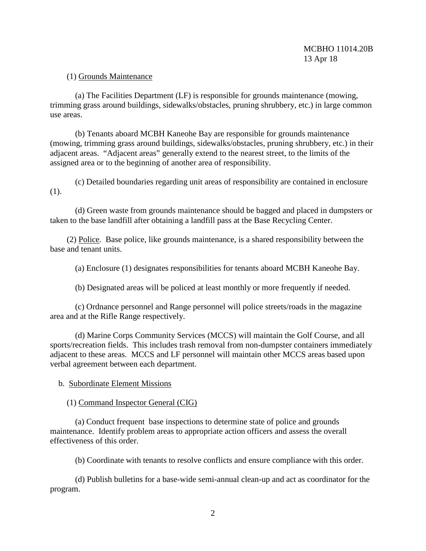#### (1) Grounds Maintenance

 (a) The Facilities Department (LF) is responsible for grounds maintenance (mowing, trimming grass around buildings, sidewalks/obstacles, pruning shrubbery, etc.) in large common use areas.

 (b) Tenants aboard MCBH Kaneohe Bay are responsible for grounds maintenance (mowing, trimming grass around buildings, sidewalks/obstacles, pruning shrubbery, etc.) in their adjacent areas. "Adjacent areas" generally extend to the nearest street, to the limits of the assigned area or to the beginning of another area of responsibility.

 (c) Detailed boundaries regarding unit areas of responsibility are contained in enclosure (1).

 (d) Green waste from grounds maintenance should be bagged and placed in dumpsters or taken to the base landfill after obtaining a landfill pass at the Base Recycling Center.

 (2) Police. Base police, like grounds maintenance, is a shared responsibility between the base and tenant units.

(a) Enclosure (1) designates responsibilities for tenants aboard MCBH Kaneohe Bay.

(b) Designated areas will be policed at least monthly or more frequently if needed.

 (c) Ordnance personnel and Range personnel will police streets/roads in the magazine area and at the Rifle Range respectively.

 (d) Marine Corps Community Services (MCCS) will maintain the Golf Course, and all sports/recreation fields. This includes trash removal from non-dumpster containers immediately adjacent to these areas. MCCS and LF personnel will maintain other MCCS areas based upon verbal agreement between each department.

b. Subordinate Element Missions

#### (1) Command Inspector General (CIG)

 (a) Conduct frequent base inspections to determine state of police and grounds maintenance. Identify problem areas to appropriate action officers and assess the overall effectiveness of this order.

(b) Coordinate with tenants to resolve conflicts and ensure compliance with this order.

 (d) Publish bulletins for a base-wide semi-annual clean-up and act as coordinator for the program.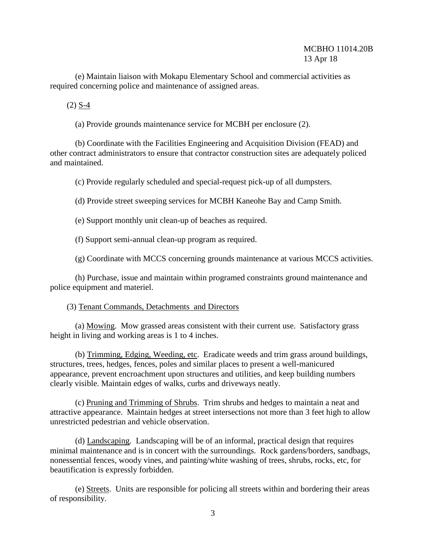## MCBHO 11014.20B 13 Apr 18

 (e) Maintain liaison with Mokapu Elementary School and commercial activities as required concerning police and maintenance of assigned areas.

(2) S-4

(a) Provide grounds maintenance service for MCBH per enclosure (2).

 (b) Coordinate with the Facilities Engineering and Acquisition Division (FEAD) and other contract administrators to ensure that contractor construction sites are adequately policed and maintained.

(c) Provide regularly scheduled and special-request pick-up of all dumpsters.

(d) Provide street sweeping services for MCBH Kaneohe Bay and Camp Smith.

(e) Support monthly unit clean-up of beaches as required.

(f) Support semi-annual clean-up program as required.

(g) Coordinate with MCCS concerning grounds maintenance at various MCCS activities.

 (h) Purchase, issue and maintain within programed constraints ground maintenance and police equipment and materiel.

#### (3) Tenant Commands, Detachments and Directors

 (a) Mowing. Mow grassed areas consistent with their current use. Satisfactory grass height in living and working areas is 1 to 4 inches.

 (b) Trimming, Edging, Weeding, etc. Eradicate weeds and trim grass around buildings, structures, trees, hedges, fences, poles and similar places to present a well-manicured appearance, prevent encroachment upon structures and utilities, and keep building numbers clearly visible. Maintain edges of walks, curbs and driveways neatly.

 (c) Pruning and Trimming of Shrubs. Trim shrubs and hedges to maintain a neat and attractive appearance. Maintain hedges at street intersections not more than 3 feet high to allow unrestricted pedestrian and vehicle observation.

 (d) Landscaping. Landscaping will be of an informal, practical design that requires minimal maintenance and is in concert with the surroundings. Rock gardens/borders, sandbags, nonessential fences, woody vines, and painting/white washing of trees, shrubs, rocks, etc, for beautification is expressly forbidden.

 (e) Streets. Units are responsible for policing all streets within and bordering their areas of responsibility.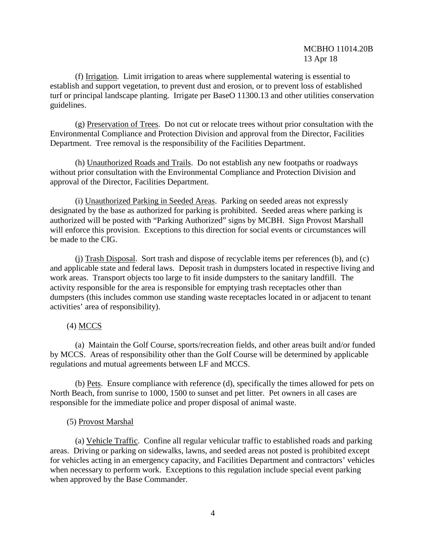(f) Irrigation. Limit irrigation to areas where supplemental watering is essential to establish and support vegetation, to prevent dust and erosion, or to prevent loss of established turf or principal landscape planting. Irrigate per BaseO 11300.13 and other utilities conservation guidelines.

 (g) Preservation of Trees. Do not cut or relocate trees without prior consultation with the Environmental Compliance and Protection Division and approval from the Director, Facilities Department. Tree removal is the responsibility of the Facilities Department.

 (h) Unauthorized Roads and Trails. Do not establish any new footpaths or roadways without prior consultation with the Environmental Compliance and Protection Division and approval of the Director, Facilities Department.

 (i) Unauthorized Parking in Seeded Areas. Parking on seeded areas not expressly designated by the base as authorized for parking is prohibited. Seeded areas where parking is authorized will be posted with "Parking Authorized" signs by MCBH. Sign Provost Marshall will enforce this provision. Exceptions to this direction for social events or circumstances will be made to the CIG.

 (j) Trash Disposal. Sort trash and dispose of recyclable items per references (b), and (c) and applicable state and federal laws. Deposit trash in dumpsters located in respective living and work areas. Transport objects too large to fit inside dumpsters to the sanitary landfill. The activity responsible for the area is responsible for emptying trash receptacles other than dumpsters (this includes common use standing waste receptacles located in or adjacent to tenant activities' area of responsibility).

# (4) MCCS

 (a) Maintain the Golf Course, sports/recreation fields, and other areas built and/or funded by MCCS. Areas of responsibility other than the Golf Course will be determined by applicable regulations and mutual agreements between LF and MCCS.

 (b) Pets. Ensure compliance with reference (d), specifically the times allowed for pets on North Beach, from sunrise to 1000, 1500 to sunset and pet litter. Pet owners in all cases are responsible for the immediate police and proper disposal of animal waste.

### (5) Provost Marshal

 (a) Vehicle Traffic. Confine all regular vehicular traffic to established roads and parking areas. Driving or parking on sidewalks, lawns, and seeded areas not posted is prohibited except for vehicles acting in an emergency capacity, and Facilities Department and contractors' vehicles when necessary to perform work. Exceptions to this regulation include special event parking when approved by the Base Commander.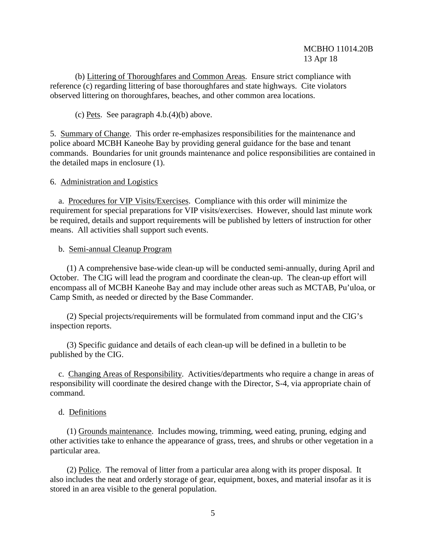(b) Littering of Thoroughfares and Common Areas. Ensure strict compliance with reference (c) regarding littering of base thoroughfares and state highways. Cite violators observed littering on thoroughfares, beaches, and other common area locations.

(c) Pets. See paragraph  $4.b.(4)(b)$  above.

5. Summary of Change. This order re-emphasizes responsibilities for the maintenance and police aboard MCBH Kaneohe Bay by providing general guidance for the base and tenant commands. Boundaries for unit grounds maintenance and police responsibilities are contained in the detailed maps in enclosure (1).

### 6. Administration and Logistics

 a. Procedures for VIP Visits/Exercises. Compliance with this order will minimize the requirement for special preparations for VIP visits/exercises. However, should last minute work be required, details and support requirements will be published by letters of instruction for other means. All activities shall support such events.

#### b. Semi-annual Cleanup Program

 (1) A comprehensive base-wide clean-up will be conducted semi-annually, during April and October. The CIG will lead the program and coordinate the clean-up. The clean-up effort will encompass all of MCBH Kaneohe Bay and may include other areas such as MCTAB, Pu'uloa, or Camp Smith, as needed or directed by the Base Commander.

 (2) Special projects/requirements will be formulated from command input and the CIG's inspection reports.

 (3) Specific guidance and details of each clean-up will be defined in a bulletin to be published by the CIG.

 c. Changing Areas of Responsibility. Activities/departments who require a change in areas of responsibility will coordinate the desired change with the Director, S-4, via appropriate chain of command.

### d. Definitions

 (1) Grounds maintenance. Includes mowing, trimming, weed eating, pruning, edging and other activities take to enhance the appearance of grass, trees, and shrubs or other vegetation in a particular area.

 (2) Police. The removal of litter from a particular area along with its proper disposal. It also includes the neat and orderly storage of gear, equipment, boxes, and material insofar as it is stored in an area visible to the general population.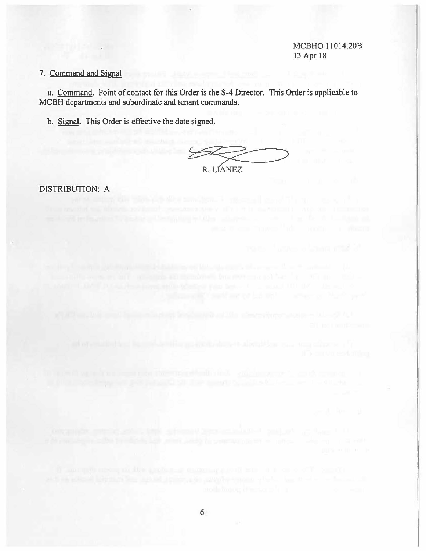#### MCBHO 11014.20B 13 Apr 18

## 7. Command and Signal

a. Command. Point of contact for this Order is the S-4 Director. This Order is applicable to MCBH departments and subordinate and tenant commands.

6

b. Signal. This Order is effective the date signed.

R. LIANEZ

DISTRIBUTION: A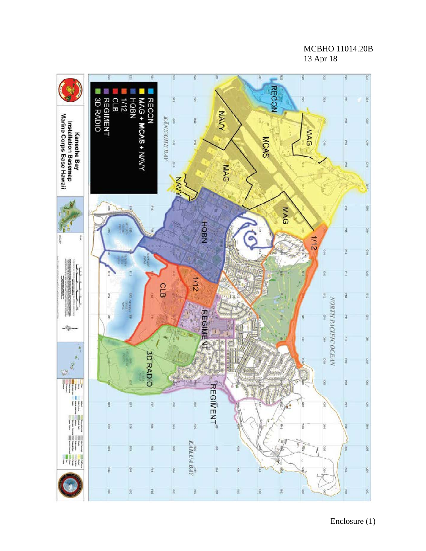MCBHO 11014.20B 13 Apr 18

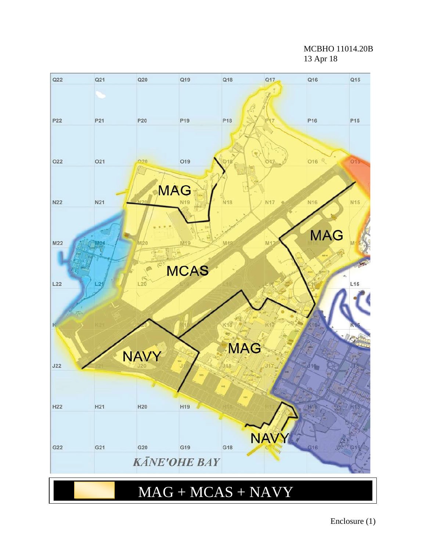MCBHO 11014.20B 13 Apr 18



Enclosure (1)